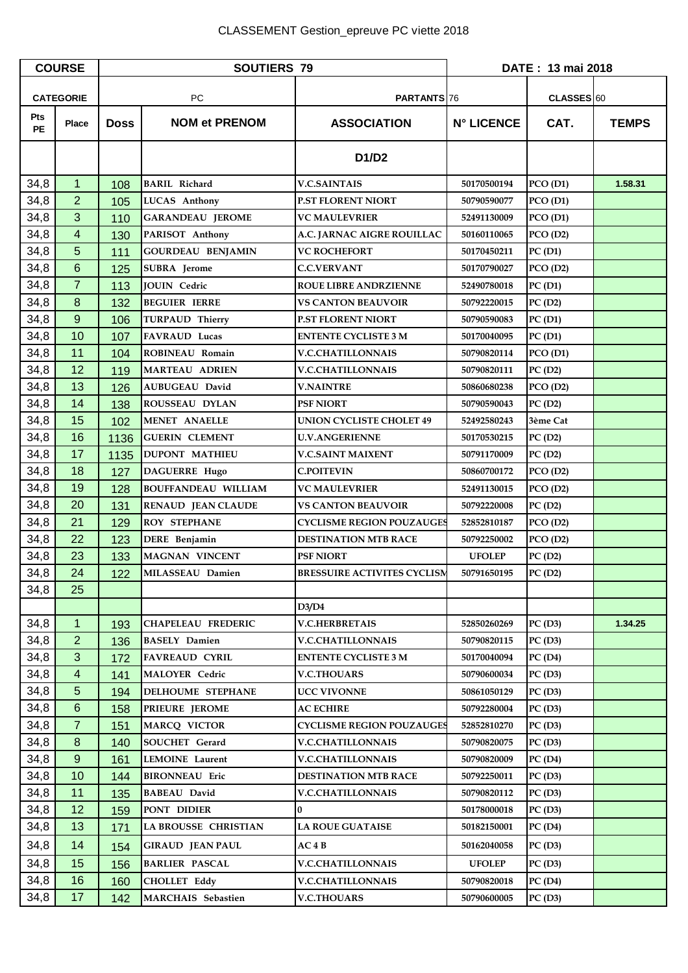| <b>COURSE</b>    |                | <b>SOUTIERS 79</b> |                            |                                    | DATE: 13 mai 2018 |            |              |
|------------------|----------------|--------------------|----------------------------|------------------------------------|-------------------|------------|--------------|
| <b>CATEGORIE</b> |                | <b>PC</b>          |                            | <b>PARTANTS</b> 76                 |                   | CLASSES 60 |              |
| Pts<br><b>PE</b> | <b>Place</b>   | <b>Doss</b>        | <b>NOM et PRENOM</b>       | <b>ASSOCIATION</b>                 | <b>N° LICENCE</b> | CAT.       | <b>TEMPS</b> |
|                  |                |                    |                            | D1/D2                              |                   |            |              |
| 34,8             | 1              | 108                | <b>BARIL Richard</b>       | <b>V.C.SAINTAIS</b>                | 50170500194       | PCO(D1)    | 1.58.31      |
| 34,8             | $\overline{2}$ | 105                | <b>LUCAS Anthony</b>       | <b>P.ST FLORENT NIORT</b>          | 50790590077       | PCO(D1)    |              |
| 34,8             | 3              | 110                | <b>GARANDEAU JEROME</b>    | <b>VC MAULEVRIER</b>               | 52491130009       | PCO(D1)    |              |
| 34,8             | 4              | 130                | PARISOT Anthony            | A.C. JARNAC AIGRE ROUILLAC         | 50160110065       | PCO(D2)    |              |
| 34,8             | 5              | 111                | <b>GOURDEAU BENJAMIN</b>   | <b>VC ROCHEFORT</b>                | 50170450211       | PC(D1)     |              |
| 34,8             | 6              | 125                | <b>SUBRA</b> Jerome        | <b>C.C.VERVANT</b>                 | 50170790027       | PCO(D2)    |              |
| 34,8             | $\overline{7}$ | 113                | <b>JOUIN</b> Cedric        | <b>ROUE LIBRE ANDRZIENNE</b>       | 52490780018       | PC(D1)     |              |
| 34,8             | 8              | 132                | <b>BEGUIER IERRE</b>       | <b>VS CANTON BEAUVOIR</b>          | 50792220015       | PC(D2)     |              |
| 34,8             | 9              | 106                | <b>TURPAUD Thierry</b>     | P.ST FLORENT NIORT                 | 50790590083       | PC(D1)     |              |
| 34,8             | 10             | 107                | <b>FAVRAUD Lucas</b>       | <b>ENTENTE CYCLISTE 3 M</b>        | 50170040095       | PC(D1)     |              |
| 34,8             | 11             | 104                | ROBINEAU Romain            | <b>V.C.CHATILLONNAIS</b>           | 50790820114       | PCO(D1)    |              |
| 34,8             | 12             | 119                | <b>MARTEAU ADRIEN</b>      | <b>V.C.CHATILLONNAIS</b>           | 50790820111       | PC(D2)     |              |
| 34,8             | 13             | 126                | <b>AUBUGEAU David</b>      | <b>V.NAINTRE</b>                   | 50860680238       | PCO(D2)    |              |
| 34,8             | 14             | 138                | <b>ROUSSEAU DYLAN</b>      | <b>PSF NIORT</b>                   | 50790590043       | PC(D2)     |              |
| 34,8             | 15             | 102                | <b>MENET ANAELLE</b>       | UNION CYCLISTE CHOLET 49           | 52492580243       | 3ème Cat   |              |
| 34,8             | 16             | 1136               | <b>GUERIN CLEMENT</b>      | <b>U.V.ANGERIENNE</b>              | 50170530215       | PC(D2)     |              |
| 34,8             | 17             | 1135               | <b>DUPONT MATHIEU</b>      | <b>V.C.SAINT MAIXENT</b>           | 50791170009       | PC(D2)     |              |
| 34,8             | 18             | 127                | <b>DAGUERRE Hugo</b>       | <b>C.POITEVIN</b>                  | 50860700172       | PCO(D2)    |              |
| 34,8             | 19             | 128                | <b>BOUFFANDEAU WILLIAM</b> | <b>VC MAULEVRIER</b>               | 52491130015       | PCO(D2)    |              |
| 34,8             | 20             | 131                | <b>RENAUD JEAN CLAUDE</b>  | <b>VS CANTON BEAUVOIR</b>          | 50792220008       | PC(D2)     |              |
| 34,8             | 21             | 129                | <b>ROY STEPHANE</b>        | <b>CYCLISME REGION POUZAUGES</b>   | 52852810187       | PCO(D2)    |              |
| 34,8             | 22             | 123                | DERE Benjamin              | <b>DESTINATION MTB RACE</b>        | 50792250002       | PCO(D2)    |              |
| 34,8             | 23             | 133                | <b>MAGNAN VINCENT</b>      | <b>PSF NIORT</b>                   | <b>UFOLEP</b>     | PC(D2)     |              |
| 34,8             | 24             | 122                | MILASSEAU Damien           | <b>BRESSUIRE ACTIVITES CYCLISM</b> | 50791650195       | PC(D2)     |              |
| 34,8             | 25             |                    |                            |                                    |                   |            |              |
|                  |                |                    |                            | D3/D4                              |                   |            |              |
| 34,8             | $\mathbf{1}$   | 193                | <b>CHAPELEAU FREDERIC</b>  | <b>V.C.HERBRETAIS</b>              | 52850260269       | PC(D3)     | 1.34.25      |
| 34,8             | $\overline{2}$ | 136                | <b>BASELY Damien</b>       | <b>V.C.CHATILLONNAIS</b>           | 50790820115       | PC(D3)     |              |
| 34,8             | $\mathbf{3}$   | 172                | <b>FAVREAUD CYRIL</b>      | <b>ENTENTE CYCLISTE 3 M</b>        | 50170040094       | PC(D4)     |              |
| 34,8             | 4              | 141                | <b>MALOYER Cedric</b>      | <b>V.C.THOUARS</b>                 | 50790600034       | PC(D3)     |              |
| 34,8             | 5              | 194                | <b>DELHOUME STEPHANE</b>   | <b>UCC VIVONNE</b>                 | 50861050129       | PC(D3)     |              |
| 34,8             | 6              | 158                | PRIEURE JEROME             | <b>AC ECHIRE</b>                   | 50792280004       | PC(D3)     |              |
| 34,8             | $\overline{7}$ | 151                | <b>MARCO VICTOR</b>        | <b>CYCLISME REGION POUZAUGES</b>   | 52852810270       | PC(D3)     |              |
| 34,8             | 8              | 140                | SOUCHET Gerard             | <b>V.C.CHATILLONNAIS</b>           | 50790820075       | PC(D3)     |              |
| 34,8             | $9\,$          | 161                | <b>LEMOINE</b> Laurent     | <b>V.C.CHATILLONNAIS</b>           | 50790820009       | PC(D4)     |              |
| 34,8             | 10             | 144                | <b>BIRONNEAU</b> Eric      | <b>DESTINATION MTB RACE</b>        | 50792250011       | PC(D3)     |              |
| 34,8             | 11             | 135                | <b>BABEAU David</b>        | <b>V.C.CHATILLONNAIS</b>           | 50790820112       | PC(D3)     |              |
| 34,8             | 12             | 159                | PONT DIDIER                | $\bf{0}$                           | 50178000018       | PC(D3)     |              |
| 34,8             | 13             | 171                | LA BROUSSE CHRISTIAN       | <b>LA ROUE GUATAISE</b>            | 50182150001       | PC(D4)     |              |
| 34,8             | 14             | 154                | <b>GIRAUD JEAN PAUL</b>    | AC4B                               | 50162040058       | PC(D3)     |              |
| 34,8             | 15             | 156                | <b>BARLIER PASCAL</b>      | <b>V.C.CHATILLONNAIS</b>           | <b>UFOLEP</b>     | PC(D3)     |              |
| 34,8             | 16             | 160                | <b>CHOLLET Eddy</b>        | <b>V.C.CHATILLONNAIS</b>           | 50790820018       | PC(D4)     |              |
| 34,8             | 17             | 142                | MARCHAIS Sebastien         | <b>V.C.THOUARS</b>                 | 50790600005       | PC(D3)     |              |